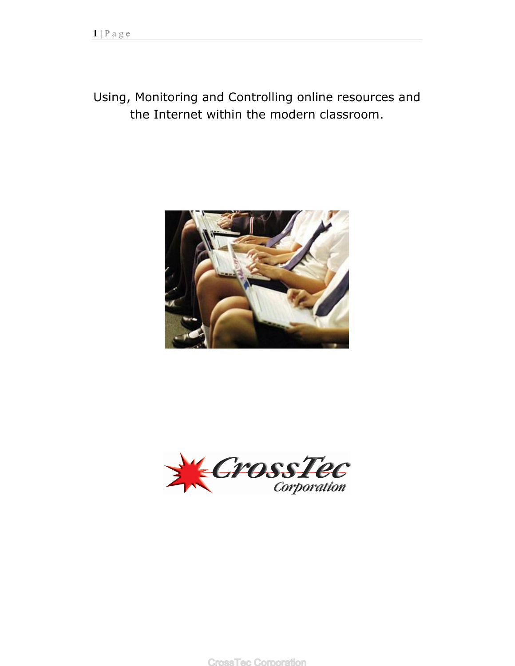# Using, Monitoring and Controlling online resources and the Internet within the modern classroom.





**CrossTec Corporation**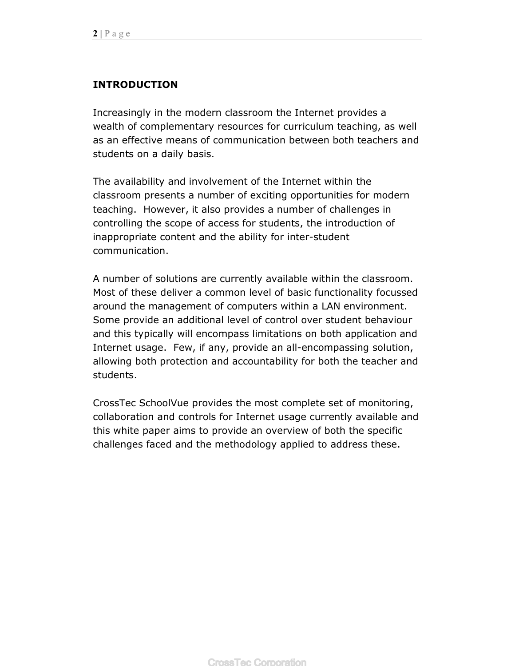### **INTRODUCTION**

Increasingly in the modern classroom the Internet provides a wealth of complementary resources for curriculum teaching, as well as an effective means of communication between both teachers and students on a daily basis.

The availability and involvement of the Internet within the classroom presents a number of exciting opportunities for modern teaching. However, it also provides a number of challenges in controlling the scope of access for students, the introduction of inappropriate content and the ability for inter-student communication.

A number of solutions are currently available within the classroom. Most of these deliver a common level of basic functionality focussed around the management of computers within a LAN environment. Some provide an additional level of control over student behaviour and this typically will encompass limitations on both application and Internet usage. Few, if any, provide an all-encompassing solution, allowing both protection and accountability for both the teacher and students.

CrossTec SchoolVue provides the most complete set of monitoring, collaboration and controls for Internet usage currently available and this white paper aims to provide an overview of both the specific challenges faced and the methodology applied to address these.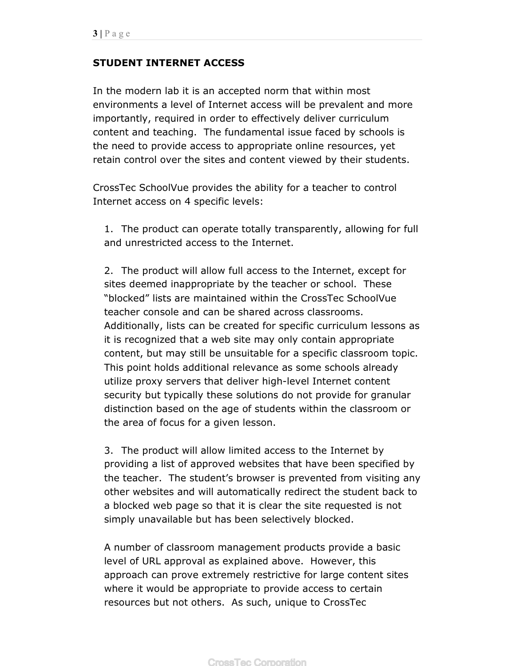#### **STUDENT INTERNET ACCESS**

In the modern lab it is an accepted norm that within most environments a level of Internet access will be prevalent and more importantly, required in order to effectively deliver curriculum content and teaching. The fundamental issue faced by schools is the need to provide access to appropriate online resources, yet retain control over the sites and content viewed by their students.

CrossTec SchoolVue provides the ability for a teacher to control Internet access on 4 specific levels:

1. The product can operate totally transparently, allowing for full and unrestricted access to the Internet.

2. The product will allow full access to the Internet, except for sites deemed inappropriate by the teacher or school. These "blocked" lists are maintained within the CrossTec SchoolVue teacher console and can be shared across classrooms. Additionally, lists can be created for specific curriculum lessons as it is recognized that a web site may only contain appropriate content, but may still be unsuitable for a specific classroom topic. This point holds additional relevance as some schools already utilize proxy servers that deliver high-level Internet content security but typically these solutions do not provide for granular distinction based on the age of students within the classroom or the area of focus for a given lesson.

3. The product will allow limited access to the Internet by providing a list of approved websites that have been specified by the teacher. The student's browser is prevented from visiting any other websites and will automatically redirect the student back to a blocked web page so that it is clear the site requested is not simply unavailable but has been selectively blocked.

A number of classroom management products provide a basic level of URL approval as explained above. However, this approach can prove extremely restrictive for large content sites where it would be appropriate to provide access to certain resources but not others. As such, unique to CrossTec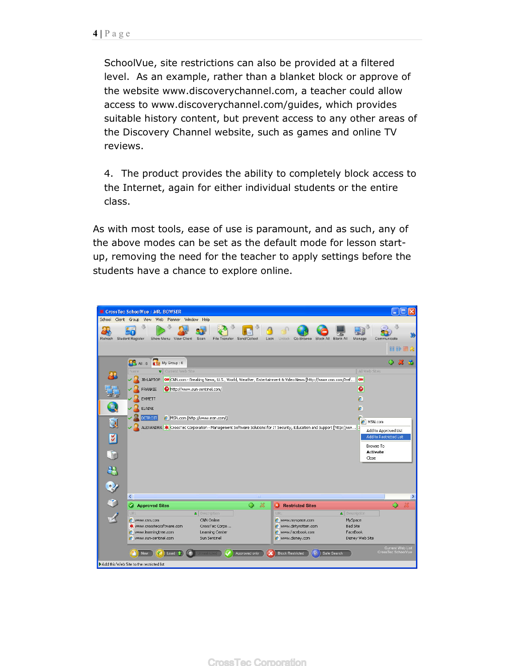SchoolVue, site restrictions can also be provided at a filtered level. As an example, rather than a blanket block or approve of the website www.discoverychannel.com, a teacher could allow access to www.discoverychannel.com/guides, which provides suitable history content, but prevent access to any other areas of the Discovery Channel website, such as games and online TV reviews.

4. The product provides the ability to completely block access to the Internet, again for either individual students or the entire class.

As with most tools, ease of use is paramount, and as such, any of the above modes can be set as the default mode for lesson startup, removing the need for the teacher to apply settings before the students have a chance to explore online.

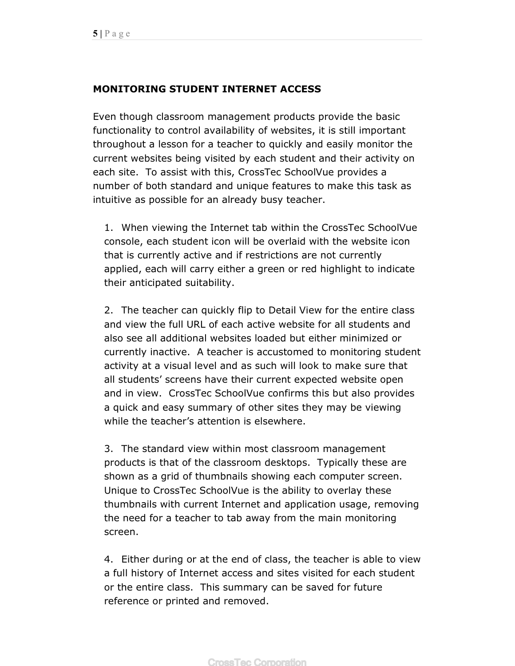## **MONITORING STUDENT INTERNET ACCESS**

Even though classroom management products provide the basic functionality to control availability of websites, it is still important throughout a lesson for a teacher to quickly and easily monitor the current websites being visited by each student and their activity on each site. To assist with this, CrossTec SchoolVue provides a number of both standard and unique features to make this task as intuitive as possible for an already busy teacher.

1. When viewing the Internet tab within the CrossTec SchoolVue console, each student icon will be overlaid with the website icon that is currently active and if restrictions are not currently applied, each will carry either a green or red highlight to indicate their anticipated suitability.

2. The teacher can quickly flip to Detail View for the entire class and view the full URL of each active website for all students and also see all additional websites loaded but either minimized or currently inactive. A teacher is accustomed to monitoring student activity at a visual level and as such will look to make sure that all students' screens have their current expected website open and in view. CrossTec SchoolVue confirms this but also provides a quick and easy summary of other sites they may be viewing while the teacher's attention is elsewhere.

3. The standard view within most classroom management products is that of the classroom desktops. Typically these are shown as a grid of thumbnails showing each computer screen. Unique to CrossTec SchoolVue is the ability to overlay these thumbnails with current Internet and application usage, removing the need for a teacher to tab away from the main monitoring screen.

4. Either during or at the end of class, the teacher is able to view a full history of Internet access and sites visited for each student or the entire class. This summary can be saved for future reference or printed and removed.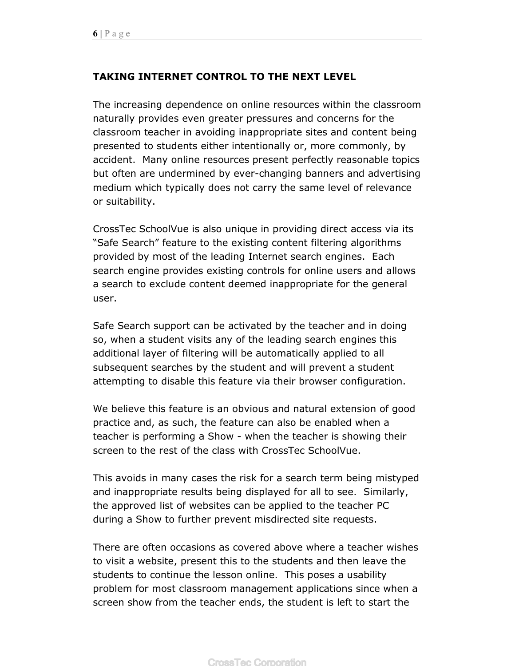## **TAKING INTERNET CONTROL TO THE NEXT LEVEL**

The increasing dependence on online resources within the classroom naturally provides even greater pressures and concerns for the classroom teacher in avoiding inappropriate sites and content being presented to students either intentionally or, more commonly, by accident. Many online resources present perfectly reasonable topics but often are undermined by ever-changing banners and advertising medium which typically does not carry the same level of relevance or suitability.

CrossTec SchoolVue is also unique in providing direct access via its "Safe Search" feature to the existing content filtering algorithms provided by most of the leading Internet search engines. Each search engine provides existing controls for online users and allows a search to exclude content deemed inappropriate for the general user.

Safe Search support can be activated by the teacher and in doing so, when a student visits any of the leading search engines this additional layer of filtering will be automatically applied to all subsequent searches by the student and will prevent a student attempting to disable this feature via their browser configuration.

We believe this feature is an obvious and natural extension of good practice and, as such, the feature can also be enabled when a teacher is performing a Show - when the teacher is showing their screen to the rest of the class with CrossTec SchoolVue.

This avoids in many cases the risk for a search term being mistyped and inappropriate results being displayed for all to see. Similarly, the approved list of websites can be applied to the teacher PC during a Show to further prevent misdirected site requests.

There are often occasions as covered above where a teacher wishes to visit a website, present this to the students and then leave the students to continue the lesson online. This poses a usability problem for most classroom management applications since when a screen show from the teacher ends, the student is left to start the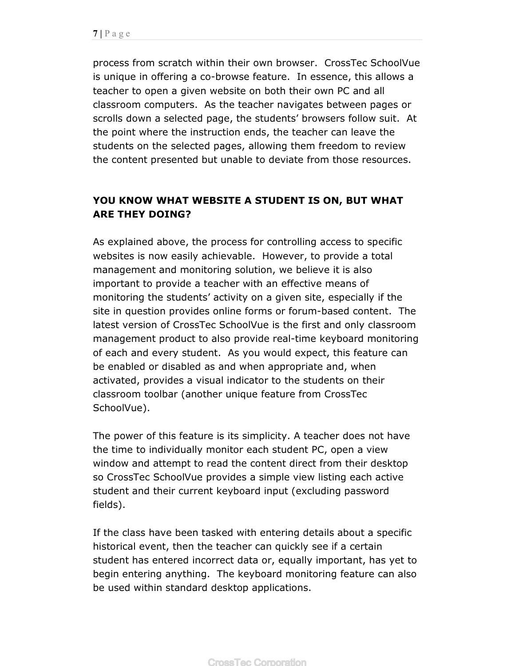process from scratch within their own browser. CrossTec SchoolVue is unique in offering a co-browse feature. In essence, this allows a teacher to open a given website on both their own PC and all classroom computers. As the teacher navigates between pages or scrolls down a selected page, the students' browsers follow suit. At the point where the instruction ends, the teacher can leave the students on the selected pages, allowing them freedom to review the content presented but unable to deviate from those resources.

## **YOU KNOW WHAT WEBSITE A STUDENT IS ON, BUT WHAT ARE THEY DOING?**

As explained above, the process for controlling access to specific websites is now easily achievable. However, to provide a total management and monitoring solution, we believe it is also important to provide a teacher with an effective means of monitoring the students' activity on a given site, especially if the site in question provides online forms or forum-based content. The latest version of CrossTec SchoolVue is the first and only classroom management product to also provide real-time keyboard monitoring of each and every student. As you would expect, this feature can be enabled or disabled as and when appropriate and, when activated, provides a visual indicator to the students on their classroom toolbar (another unique feature from CrossTec SchoolVue).

The power of this feature is its simplicity. A teacher does not have the time to individually monitor each student PC, open a view window and attempt to read the content direct from their desktop so CrossTec SchoolVue provides a simple view listing each active student and their current keyboard input (excluding password fields).

If the class have been tasked with entering details about a specific historical event, then the teacher can quickly see if a certain student has entered incorrect data or, equally important, has yet to begin entering anything. The keyboard monitoring feature can also be used within standard desktop applications.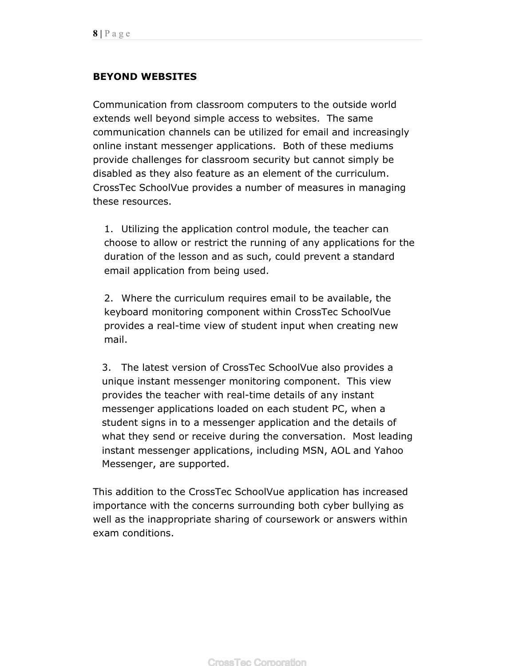## **BEYOND WEBSITES**

Communication from classroom computers to the outside world extends well beyond simple access to websites. The same communication channels can be utilized for email and increasingly online instant messenger applications. Both of these mediums provide challenges for classroom security but cannot simply be disabled as they also feature as an element of the curriculum. CrossTec SchoolVue provides a number of measures in managing these resources.

1. Utilizing the application control module, the teacher can choose to allow or restrict the running of any applications for the duration of the lesson and as such, could prevent a standard email application from being used.

2. Where the curriculum requires email to be available, the keyboard monitoring component within CrossTec SchoolVue provides a real-time view of student input when creating new mail.

3. The latest version of CrossTec SchoolVue also provides a unique instant messenger monitoring component. This view provides the teacher with real-time details of any instant messenger applications loaded on each student PC, when a student signs in to a messenger application and the details of what they send or receive during the conversation. Most leading instant messenger applications, including MSN, AOL and Yahoo Messenger, are supported.

This addition to the CrossTec SchoolVue application has increased importance with the concerns surrounding both cyber bullying as well as the inappropriate sharing of coursework or answers within exam conditions.